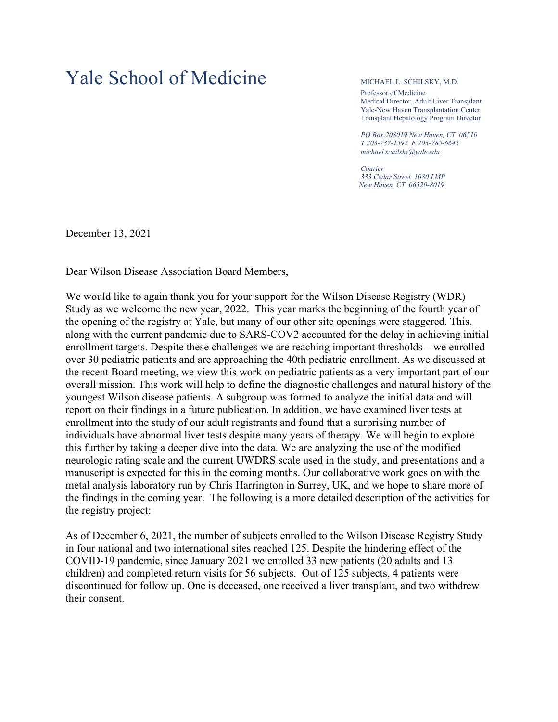## Yale School of Medicine MICHAEL L. SCHILSKY, M.D.

Professor of Medicine Medical Director, Adult Liver Transplant Yale-New Haven Transplantation Center Transplant Hepatology Program Director

*PO Box 208019 New Haven, CT 06510 T 203-737-1592 F 203-785-6645 [michael.schilsky@yale.edu](mailto:michael.schilsky@yale.edu)*

*Courier 333 Cedar Street, 1080 LMP New Haven, CT 06520-8019*

December 13, 2021

Dear Wilson Disease Association Board Members,

We would like to again thank you for your support for the Wilson Disease Registry (WDR) Study as we welcome the new year, 2022. This year marks the beginning of the fourth year of the opening of the registry at Yale, but many of our other site openings were staggered. This, along with the current pandemic due to SARS-COV2 accounted for the delay in achieving initial enrollment targets. Despite these challenges we are reaching important thresholds – we enrolled over 30 pediatric patients and are approaching the 40th pediatric enrollment. As we discussed at the recent Board meeting, we view this work on pediatric patients as a very important part of our overall mission. This work will help to define the diagnostic challenges and natural history of the youngest Wilson disease patients. A subgroup was formed to analyze the initial data and will report on their findings in a future publication. In addition, we have examined liver tests at enrollment into the study of our adult registrants and found that a surprising number of individuals have abnormal liver tests despite many years of therapy. We will begin to explore this further by taking a deeper dive into the data. We are analyzing the use of the modified neurologic rating scale and the current UWDRS scale used in the study, and presentations and a manuscript is expected for this in the coming months. Our collaborative work goes on with the metal analysis laboratory run by Chris Harrington in Surrey, UK, and we hope to share more of the findings in the coming year. The following is a more detailed description of the activities for the registry project:

As of December 6, 2021, the number of subjects enrolled to the Wilson Disease Registry Study in four national and two international sites reached 125. Despite the hindering effect of the COVID-19 pandemic, since January 2021 we enrolled 33 new patients (20 adults and 13 children) and completed return visits for 56 subjects. Out of 125 subjects, 4 patients were discontinued for follow up. One is deceased, one received a liver transplant, and two withdrew their consent.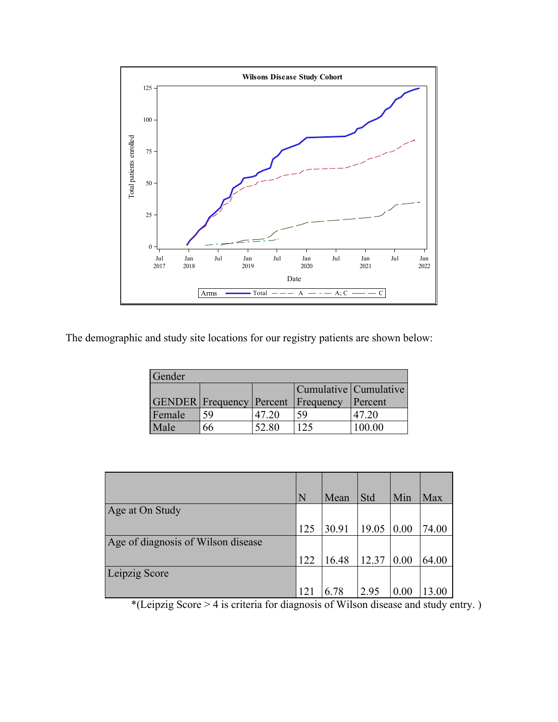

The demographic and study site locations for our registry patients are shown below:

| Gender |                                           |       |                       |         |  |  |  |
|--------|-------------------------------------------|-------|-----------------------|---------|--|--|--|
|        |                                           |       | Cumulative Cumulative |         |  |  |  |
|        | <b>GENDER</b> Frequency Percent Frequency |       |                       | Percent |  |  |  |
| Female | 59                                        | 47.20 | 59                    | 47.20   |  |  |  |
| Male   | 66                                        | 52.80 | 125                   | 100.00  |  |  |  |

|                                    | N   | Mean  | Std   | Min                | Max   |
|------------------------------------|-----|-------|-------|--------------------|-------|
| Age at On Study                    |     |       |       |                    |       |
|                                    | 125 | 30.91 | 19.05 | $\vert 0.00 \vert$ | 74.00 |
| Age of diagnosis of Wilson disease |     |       |       |                    |       |
|                                    | 122 | 16.48 | 12.37 | $\vert 0.00 \vert$ | 64.00 |
| Leipzig Score                      |     |       |       |                    |       |
|                                    | 121 | 6.78  | 2.95  | 0.00               | 13.00 |

\*(Leipzig Score > 4 is criteria for diagnosis of Wilson disease and study entry. )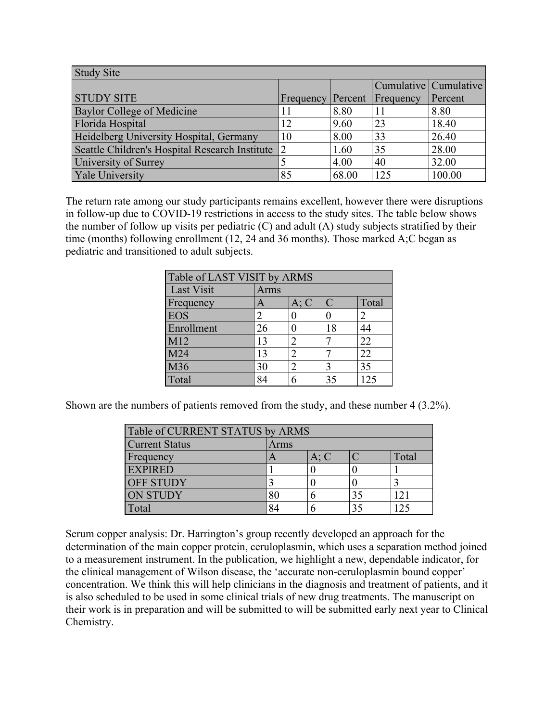| <b>Study Site</b>                              |                |         |           |                       |  |
|------------------------------------------------|----------------|---------|-----------|-----------------------|--|
|                                                |                |         |           | Cumulative Cumulative |  |
| <b>STUDY SITE</b>                              | Frequency      | Percent | Frequency | Percent               |  |
| Baylor College of Medicine                     |                | 8.80    |           | 8.80                  |  |
| Florida Hospital                               | 12             | 9.60    | 23        | 18.40                 |  |
| Heidelberg University Hospital, Germany        | 10             | 8.00    | 33        | 26.40                 |  |
| Seattle Children's Hospital Research Institute | $\overline{2}$ | 1.60    | 35        | 28.00                 |  |
| University of Surrey                           |                | 4.00    | 40        | 32.00                 |  |
| <b>Yale University</b>                         | 85             | 68.00   | 125       | 100.00                |  |

The return rate among our study participants remains excellent, however there were disruptions in follow-up due to COVID-19 restrictions in access to the study sites. The table below shows the number of follow up visits per pediatric (C) and adult (A) study subjects stratified by their time (months) following enrollment (12, 24 and 36 months). Those marked A;C began as pediatric and transitioned to adult subjects.

| Table of LAST VISIT by ARMS |               |      |               |       |  |
|-----------------------------|---------------|------|---------------|-------|--|
| Last Visit                  | Arms          |      |               |       |  |
| Frequency                   | A             | A; C | $\mathcal{C}$ | Total |  |
| <b>EOS</b>                  | 2             |      |               | 2     |  |
| Enrollment                  | 26            |      | 18            | 44    |  |
| M12                         | 13            | 2    |               | 22    |  |
| M <sub>24</sub>             | 13            | 2    |               | 22    |  |
| M36                         | 30            | っ    |               | 35    |  |
| Total                       | $Q_{\Lambda}$ |      | 35            | 125   |  |

Shown are the numbers of patients removed from the study, and these number 4 (3.2%).

| Table of CURRENT STATUS by ARMS |      |      |    |       |  |
|---------------------------------|------|------|----|-------|--|
| <b>Current Status</b>           | Arms |      |    |       |  |
| Frequency                       |      | A; C |    | Total |  |
| <b>EXPIRED</b>                  |      |      |    |       |  |
| <b>OFF STUDY</b>                |      |      |    |       |  |
| <b>ON STUDY</b>                 |      |      | 35 | 121   |  |
| Total                           |      |      |    |       |  |

Serum copper analysis: Dr. Harrington's group recently developed an approach for the determination of the main copper protein, ceruloplasmin, which uses a separation method joined to a measurement instrument. In the publication, we highlight a new, dependable indicator, for the clinical management of Wilson disease, the 'accurate non-ceruloplasmin bound copper' concentration. We think this will help clinicians in the diagnosis and treatment of patients, and it is also scheduled to be used in some clinical trials of new drug treatments. The manuscript on their work is in preparation and will be submitted to will be submitted early next year to Clinical Chemistry.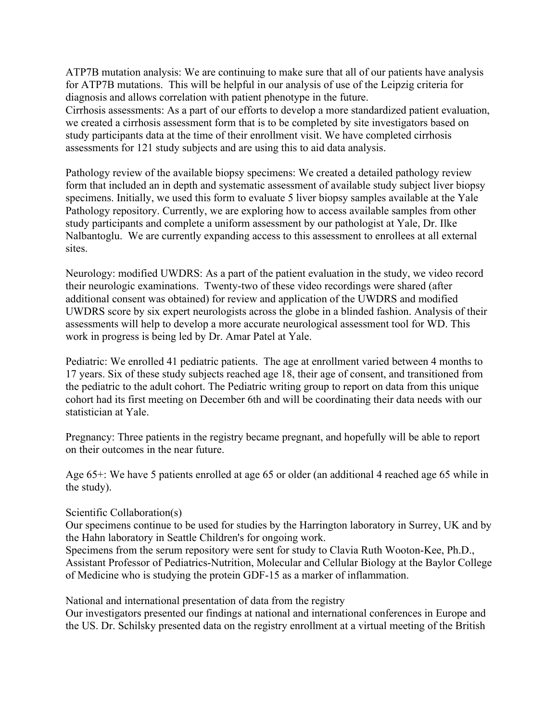ATP7B mutation analysis: We are continuing to make sure that all of our patients have analysis for ATP7B mutations. This will be helpful in our analysis of use of the Leipzig criteria for diagnosis and allows correlation with patient phenotype in the future.

Cirrhosis assessments: As a part of our efforts to develop a more standardized patient evaluation, we created a cirrhosis assessment form that is to be completed by site investigators based on study participants data at the time of their enrollment visit. We have completed cirrhosis assessments for 121 study subjects and are using this to aid data analysis.

Pathology review of the available biopsy specimens: We created a detailed pathology review form that included an in depth and systematic assessment of available study subject liver biopsy specimens. Initially, we used this form to evaluate 5 liver biopsy samples available at the Yale Pathology repository. Currently, we are exploring how to access available samples from other study participants and complete a uniform assessment by our pathologist at Yale, Dr. Ilke Nalbantoglu. We are currently expanding access to this assessment to enrollees at all external sites.

Neurology: modified UWDRS: As a part of the patient evaluation in the study, we video record their neurologic examinations. Twenty-two of these video recordings were shared (after additional consent was obtained) for review and application of the UWDRS and modified UWDRS score by six expert neurologists across the globe in a blinded fashion. Analysis of their assessments will help to develop a more accurate neurological assessment tool for WD. This work in progress is being led by Dr. Amar Patel at Yale.

Pediatric: We enrolled 41 pediatric patients. The age at enrollment varied between 4 months to 17 years. Six of these study subjects reached age 18, their age of consent, and transitioned from the pediatric to the adult cohort. The Pediatric writing group to report on data from this unique cohort had its first meeting on December 6th and will be coordinating their data needs with our statistician at Yale.

Pregnancy: Three patients in the registry became pregnant, and hopefully will be able to report on their outcomes in the near future.

Age 65+: We have 5 patients enrolled at age 65 or older (an additional 4 reached age 65 while in the study).

Scientific Collaboration(s)

Our specimens continue to be used for studies by the Harrington laboratory in Surrey, UK and by the Hahn laboratory in Seattle Children's for ongoing work.

Specimens from the serum repository were sent for study to Clavia Ruth Wooton-Kee, Ph.D., Assistant Professor of Pediatrics-Nutrition, Molecular and Cellular Biology at the Baylor College of Medicine who is studying the protein GDF-15 as a marker of inflammation.

National and international presentation of data from the registry

Our investigators presented our findings at national and international conferences in Europe and the US. Dr. Schilsky presented data on the registry enrollment at a virtual meeting of the British